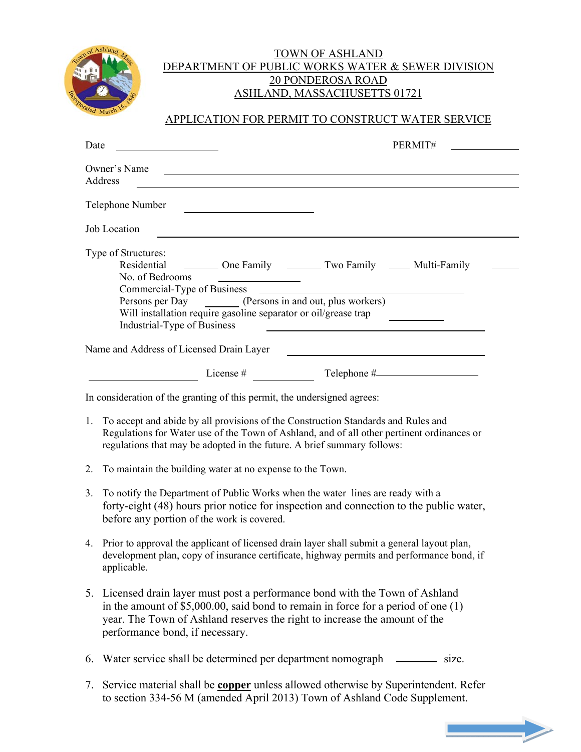

## TOWN OF ASHLAND DEPARTMENT OF PUBLIC WORKS WATER & SEWER DIVISION 20 PONDEROSA ROAD ASHLAND, MASSACHUSETTS 01721

## APPLICATION FOR PERMIT TO CONSTRUCT WATER SERVICE

| Date                                                                                                                                                                                                                                                                                                                                                                                                | PERMIT#                                                                                                                                                                                                                                                         |  |  |  |
|-----------------------------------------------------------------------------------------------------------------------------------------------------------------------------------------------------------------------------------------------------------------------------------------------------------------------------------------------------------------------------------------------------|-----------------------------------------------------------------------------------------------------------------------------------------------------------------------------------------------------------------------------------------------------------------|--|--|--|
|                                                                                                                                                                                                                                                                                                                                                                                                     | Owner's Name<br><u>and the state of the state of the state of the state of the state of the state of the state of the state of the state of the state of the state of the state of the state of the state of the state of the state of the state</u><br>Address |  |  |  |
|                                                                                                                                                                                                                                                                                                                                                                                                     | Telephone Number                                                                                                                                                                                                                                                |  |  |  |
|                                                                                                                                                                                                                                                                                                                                                                                                     | Job Location                                                                                                                                                                                                                                                    |  |  |  |
| Type of Structures:<br>Residential _________ One Family _________ Two Family ______ Multi-Family<br>No. of Bedrooms<br>Commercial-Type of Business<br>Persons per Day (Persons in and out, plus workers)<br>Will installation require gasoline separator or oil/grease trap<br>Industrial-Type of Business<br>and the state of the state of the state of the state of the state of the state of the |                                                                                                                                                                                                                                                                 |  |  |  |
| Name and Address of Licensed Drain Layer                                                                                                                                                                                                                                                                                                                                                            |                                                                                                                                                                                                                                                                 |  |  |  |
|                                                                                                                                                                                                                                                                                                                                                                                                     | Telephone #<br>License $#$                                                                                                                                                                                                                                      |  |  |  |
| In consideration of the granting of this permit, the undersigned agrees:                                                                                                                                                                                                                                                                                                                            |                                                                                                                                                                                                                                                                 |  |  |  |
|                                                                                                                                                                                                                                                                                                                                                                                                     | 1. To accept and abide by all provisions of the Construction Standards and Rules and<br>Regulations for Water use of the Town of Ashland, and of all other pertinent ordinances or<br>regulations that may be adopted in the future. A brief summary follows:   |  |  |  |
| 2.                                                                                                                                                                                                                                                                                                                                                                                                  | To maintain the building water at no expense to the Town.                                                                                                                                                                                                       |  |  |  |

- 3. To notify the Department of Public Works when the water lines are ready with a forty-eight (48) hours prior notice for inspection and connection to the public water, before any portion of the work is covered.
- 4. Prior to approval the applicant of licensed drain layer shall submit a general layout plan, development plan, copy of insurance certificate, highway permits and performance bond, if applicable.
- 5. Licensed drain layer must post a performance bond with the Town of Ashland in the amount of \$5,000.00, said bond to remain in force for a period of one (1) year. The Town of Ashland reserves the right to increase the amount of the performance bond, if necessary.
- 6. Water service shall be determined per department nomograph size.
- 7. Service material shall be **copper** unless allowed otherwise by Superintendent. Refer to section 334-56 M (amended April 2013) Town of Ashland Code Supplement.

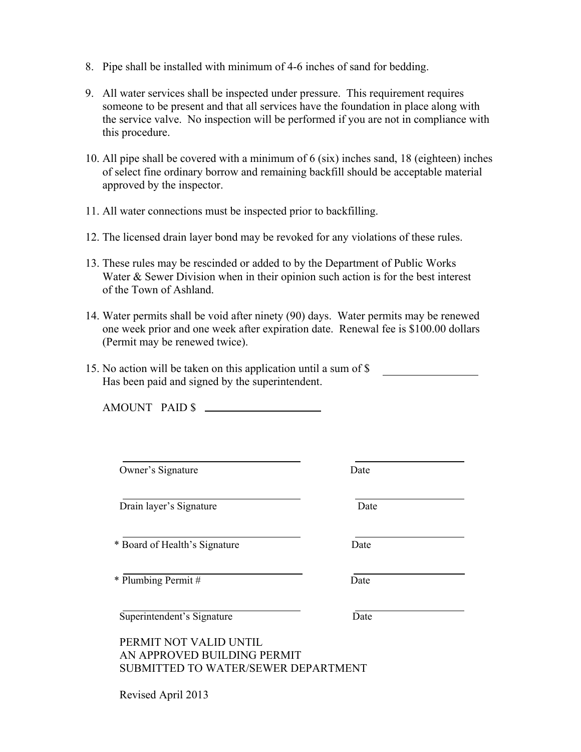- 8. Pipe shall be installed with minimum of 4-6 inches of sand for bedding.
- 9. All water services shall be inspected under pressure. This requirement requires someone to be present and that all services have the foundation in place along with the service valve. No inspection will be performed if you are not in compliance with this procedure.
- 10. All pipe shall be covered with a minimum of 6 (six) inches sand, 18 (eighteen) inches of select fine ordinary borrow and remaining backfill should be acceptable material approved by the inspector.
- 11. All water connections must be inspected prior to backfilling.
- 12. The licensed drain layer bond may be revoked for any violations of these rules.
- 13. These rules may be rescinded or added to by the Department of Public Works Water & Sewer Division when in their opinion such action is for the best interest of the Town of Ashland.
- 14. Water permits shall be void after ninety (90) days. Water permits may be renewed one week prior and one week after expiration date. Renewal fee is \$100.00 dollars (Permit may be renewed twice).
- 15. No action will be taken on this application until a sum of \$ Has been paid and signed by the superintendent.

AMOUNT PAID \$

Owner's Signature Date

Drain layer's Signature Date

\* Board of Health's Signature Date

\* Plumbing Permit # Date

Superintendent's Signature Date

PERMIT NOT VALID UNTIL AN APPROVED BUILDING PERMIT SUBMITTED TO WATER/SEWER DEPARTMENT

Revised April 2013